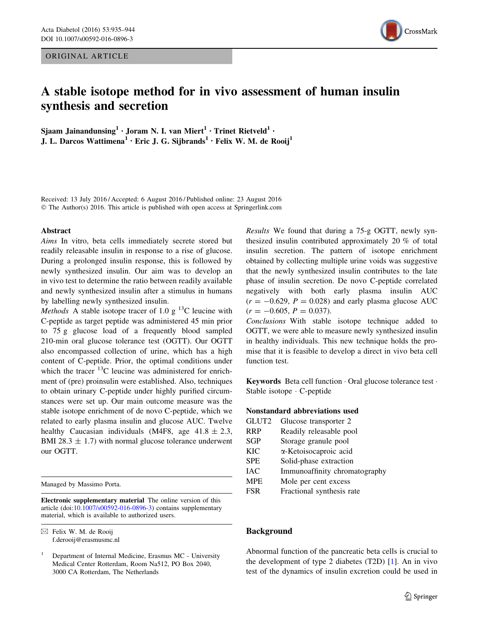ORIGINAL ARTICLE



# A stable isotope method for in vivo assessment of human insulin synthesis and secretion

Sjaam Jainandunsing<sup>1</sup> · Joram N. I. van Miert<sup>1</sup> · Trinet Rietveld<sup>1</sup> · J. L. Darcos Wattimena<sup>1</sup> · Eric J. G. Sijbrands<sup>1</sup> · Felix W. M. de Rooij<sup>1</sup>

Received: 13 July 2016 / Accepted: 6 August 2016 / Published online: 23 August 2016 © The Author(s) 2016. This article is published with open access at Springerlink.com

#### Abstract

Aims In vitro, beta cells immediately secrete stored but readily releasable insulin in response to a rise of glucose. During a prolonged insulin response, this is followed by newly synthesized insulin. Our aim was to develop an in vivo test to determine the ratio between readily available and newly synthesized insulin after a stimulus in humans by labelling newly synthesized insulin.

*Methods* A stable isotope tracer of 1.0 g <sup>13</sup>C leucine with C-peptide as target peptide was administered 45 min prior to 75 g glucose load of a frequently blood sampled 210-min oral glucose tolerance test (OGTT). Our OGTT also encompassed collection of urine, which has a high content of C-peptide. Prior, the optimal conditions under which the tracer  $^{13}$ C leucine was administered for enrichment of (pre) proinsulin were established. Also, techniques to obtain urinary C-peptide under highly purified circumstances were set up. Our main outcome measure was the stable isotope enrichment of de novo C-peptide, which we related to early plasma insulin and glucose AUC. Twelve healthy Caucasian individuals (M4F8, age  $41.8 \pm 2.3$ , BMI 28.3  $\pm$  1.7) with normal glucose tolerance underwent our OGTT.

Managed by Massimo Porta.

Electronic supplementary material The online version of this article (doi:[10.1007/s00592-016-0896-3\)](http://dx.doi.org/10.1007/s00592-016-0896-3) contains supplementary material, which is available to authorized users.

 $\boxtimes$  Felix W. M. de Rooij f.derooij@erasmusmc.nl Results We found that during a 75-g OGTT, newly synthesized insulin contributed approximately 20 % of total insulin secretion. The pattern of isotope enrichment obtained by collecting multiple urine voids was suggestive that the newly synthesized insulin contributes to the late phase of insulin secretion. De novo C-peptide correlated negatively with both early plasma insulin AUC  $(r = -0.629, P = 0.028)$  and early plasma glucose AUC  $(r = -0.605, P = 0.037).$ 

Conclusions With stable isotope technique added to OGTT, we were able to measure newly synthesized insulin in healthy individuals. This new technique holds the promise that it is feasible to develop a direct in vivo beta cell function test.

Keywords Beta cell function - Oral glucose tolerance test - Stable isotope - C-peptide

#### Nonstandard abbreviations used

| GLUT <sub>2</sub> | Glucose transporter 2         |
|-------------------|-------------------------------|
| <b>RRP</b>        | Readily releasable pool       |
| <b>SGP</b>        | Storage granule pool          |
| <b>KIC</b>        | α-Ketoisocaproic acid         |
| <b>SPE</b>        | Solid-phase extraction        |
| <b>IAC</b>        | Immunoaffinity chromatography |
| <b>MPE</b>        | Mole per cent excess          |
| <b>FSR</b>        | Fractional synthesis rate     |

#### Background

Abnormal function of the pancreatic beta cells is crucial to the development of type 2 diabetes (T2D) [[1\]](#page-8-0). An in vivo test of the dynamics of insulin excretion could be used in

<sup>1</sup> Department of Internal Medicine, Erasmus MC - University Medical Center Rotterdam, Room Na512, PO Box 2040, 3000 CA Rotterdam, The Netherlands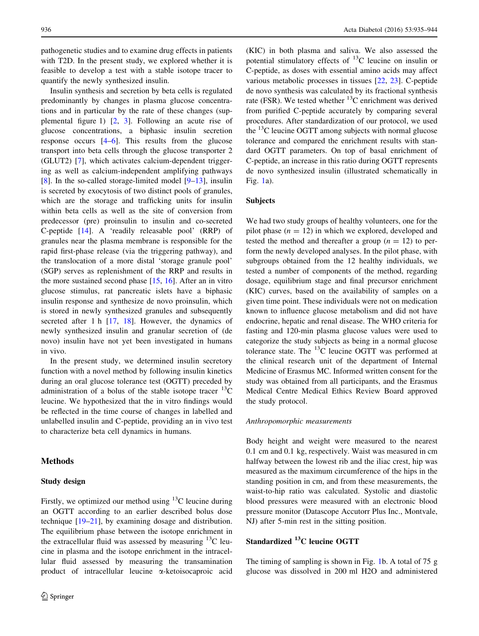pathogenetic studies and to examine drug effects in patients with T2D. In the present study, we explored whether it is feasible to develop a test with a stable isotope tracer to quantify the newly synthesized insulin.

Insulin synthesis and secretion by beta cells is regulated predominantly by changes in plasma glucose concentrations and in particular by the rate of these changes (supplemental figure 1) [[2,](#page-8-0) [3](#page-8-0)]. Following an acute rise of glucose concentrations, a biphasic insulin secretion response occurs [[4–6\]](#page-8-0). This results from the glucose transport into beta cells through the glucose transporter 2 (GLUT2) [[7\]](#page-8-0), which activates calcium-dependent triggering as well as calcium-independent amplifying pathways [\[8](#page-8-0)]. In the so-called storage-limited model [\[9–13\]](#page-8-0), insulin is secreted by exocytosis of two distinct pools of granules, which are the storage and trafficking units for insulin within beta cells as well as the site of conversion from predecessor (pre) proinsulin to insulin and co-secreted C-peptide [\[14](#page-8-0)]. A 'readily releasable pool' (RRP) of granules near the plasma membrane is responsible for the rapid first-phase release (via the triggering pathway), and the translocation of a more distal 'storage granule pool' (SGP) serves as replenishment of the RRP and results in the more sustained second phase [\[15](#page-8-0), [16\]](#page-8-0). After an in vitro glucose stimulus, rat pancreatic islets have a biphasic insulin response and synthesize de novo proinsulin, which is stored in newly synthesized granules and subsequently secreted after 1 h [\[17](#page-8-0), [18](#page-8-0)]. However, the dynamics of newly synthesized insulin and granular secretion of (de novo) insulin have not yet been investigated in humans in vivo.

In the present study, we determined insulin secretory function with a novel method by following insulin kinetics during an oral glucose tolerance test (OGTT) preceded by administration of a bolus of the stable isotope tracer  $^{13}$ C leucine. We hypothesized that the in vitro findings would be reflected in the time course of changes in labelled and unlabelled insulin and C-peptide, providing an in vivo test to characterize beta cell dynamics in humans.

## Methods

#### Study design

Firstly, we optimized our method using  $^{13}$ C leucine during an OGTT according to an earlier described bolus dose technique [[19–21\]](#page-8-0), by examining dosage and distribution. The equilibrium phase between the isotope enrichment in the extracellular fluid was assessed by measuring  $^{13}$ C leucine in plasma and the isotope enrichment in the intracellular fluid assessed by measuring the transamination product of intracellular leucine a-ketoisocaproic acid (KIC) in both plasma and saliva. We also assessed the potential stimulatory effects of  $^{13}$ C leucine on insulin or C-peptide, as doses with essential amino acids may affect various metabolic processes in tissues [\[22](#page-8-0), [23](#page-8-0)]. C-peptide de novo synthesis was calculated by its fractional synthesis rate (FSR). We tested whether  ${}^{13}$ C enrichment was derived from purified C-peptide accurately by comparing several procedures. After standardization of our protocol, we used the  $^{13}$ C leucine OGTT among subjects with normal glucose tolerance and compared the enrichment results with standard OGTT parameters. On top of basal enrichment of C-peptide, an increase in this ratio during OGTT represents de novo synthesized insulin (illustrated schematically in Fig. [1](#page-2-0)a).

### Subjects

We had two study groups of healthy volunteers, one for the pilot phase  $(n = 12)$  in which we explored, developed and tested the method and thereafter a group  $(n = 12)$  to perform the newly developed analyses. In the pilot phase, with subgroups obtained from the 12 healthy individuals, we tested a number of components of the method, regarding dosage, equilibrium stage and final precursor enrichment (KIC) curves, based on the availability of samples on a given time point. These individuals were not on medication known to influence glucose metabolism and did not have endocrine, hepatic and renal disease. The WHO criteria for fasting and 120-min plasma glucose values were used to categorize the study subjects as being in a normal glucose tolerance state. The  $^{13}$ C leucine OGTT was performed at the clinical research unit of the department of Internal Medicine of Erasmus MC. Informed written consent for the study was obtained from all participants, and the Erasmus Medical Centre Medical Ethics Review Board approved the study protocol.

#### Anthropomorphic measurements

Body height and weight were measured to the nearest 0.1 cm and 0.1 kg, respectively. Waist was measured in cm halfway between the lowest rib and the iliac crest, hip was measured as the maximum circumference of the hips in the standing position in cm, and from these measurements, the waist-to-hip ratio was calculated. Systolic and diastolic blood pressures were measured with an electronic blood pressure monitor (Datascope Accutorr Plus Inc., Montvale, NJ) after 5-min rest in the sitting position.

## Standardized 13C leucine OGTT

The timing of sampling is shown in Fig. [1](#page-2-0)b. A total of 75 g glucose was dissolved in 200 ml H2O and administered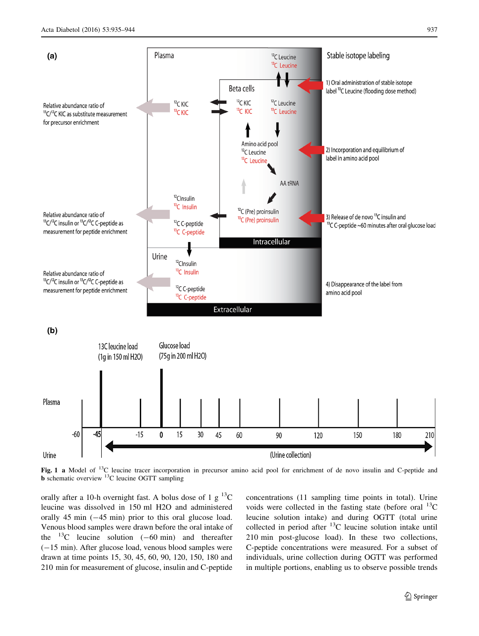<span id="page-2-0"></span>

Fig. 1 a Model of  $^{13}C$  leucine tracer incorporation in precursor amino acid pool for enrichment of de novo insulin and C-peptide and **b** schematic overview  $^{13}$ C leucine OGTT sampling

orally after a 10-h overnight fast. A bolus dose of 1 g  $^{13}$ C leucine was dissolved in 150 ml H2O and administered orally 45 min  $(-45 \text{ min})$  prior to this oral glucose load. Venous blood samples were drawn before the oral intake of the  $^{13}$ C leucine solution (-60 min) and thereafter  $(-15 \text{ min})$ . After glucose load, venous blood samples were drawn at time points 15, 30, 45, 60, 90, 120, 150, 180 and 210 min for measurement of glucose, insulin and C-peptide concentrations (11 sampling time points in total). Urine voids were collected in the fasting state (before oral  $^{13}$ C leucine solution intake) and during OGTT (total urine collected in period after  $^{13}$ C leucine solution intake until 210 min post-glucose load). In these two collections, C-peptide concentrations were measured. For a subset of individuals, urine collection during OGTT was performed in multiple portions, enabling us to observe possible trends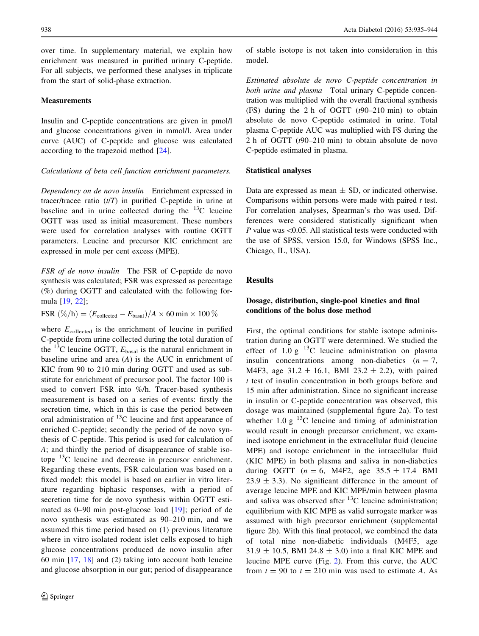over time. In supplementary material, we explain how enrichment was measured in purified urinary C-peptide. For all subjects, we performed these analyses in triplicate from the start of solid-phase extraction.

#### **Measurements**

Insulin and C-peptide concentrations are given in pmol/l and glucose concentrations given in mmol/l. Area under curve (AUC) of C-peptide and glucose was calculated according to the trapezoid method [[24\]](#page-8-0).

#### Calculations of beta cell function enrichment parameters.

Dependency on de novo insulin Enrichment expressed in tracer/tracee ratio  $(t/T)$  in purified C-peptide in urine at baseline and in urine collected during the  $^{13}$ C leucine OGTT was used as initial measurement. These numbers were used for correlation analyses with routine OGTT parameters. Leucine and precursor KIC enrichment are expressed in mole per cent excess (MPE).

FSR of de novo insulin The FSR of C-peptide de novo synthesis was calculated; FSR was expressed as percentage (%) during OGTT and calculated with the following formula [[19,](#page-8-0) [22\]](#page-8-0);

FSR  $(\%/h) = (E_{\text{collected}} - E_{\text{basal}})/A \times 60 \text{ min} \times 100\%$ 

where  $E_{\text{collected}}$  is the enrichment of leucine in purified C-peptide from urine collected during the total duration of the <sup>13</sup>C leucine OGTT,  $E_{\text{basal}}$  is the natural enrichment in baseline urine and area  $(A)$  is the AUC in enrichment of KIC from 90 to 210 min during OGTT and used as substitute for enrichment of precursor pool. The factor 100 is used to convert FSR into %/h. Tracer-based synthesis measurement is based on a series of events: firstly the secretion time, which in this is case the period between oral administration of  $^{13}$ C leucine and first appearance of enriched C-peptide; secondly the period of de novo synthesis of C-peptide. This period is used for calculation of A; and thirdly the period of disappearance of stable isotope <sup>13</sup>C leucine and decrease in precursor enrichment. Regarding these events, FSR calculation was based on a fixed model: this model is based on earlier in vitro literature regarding biphasic responses, with a period of secretion time for de novo synthesis within OGTT estimated as 0–90 min post-glucose load [[19\]](#page-8-0); period of de novo synthesis was estimated as 90–210 min, and we assumed this time period based on (1) previous literature where in vitro isolated rodent islet cells exposed to high glucose concentrations produced de novo insulin after 60 min [\[17](#page-8-0), [18\]](#page-8-0) and (2) taking into account both leucine and glucose absorption in our gut; period of disappearance of stable isotope is not taken into consideration in this model.

Estimated absolute de novo C-peptide concentration in both urine and plasma Total urinary C-peptide concentration was multiplied with the overall fractional synthesis (FS) during the 2 h of OGTT  $(t90-210 \text{ min})$  to obtain absolute de novo C-peptide estimated in urine. Total plasma C-peptide AUC was multiplied with FS during the 2 h of OGTT (t90–210 min) to obtain absolute de novo C-peptide estimated in plasma.

#### Statistical analyses

Data are expressed as mean  $\pm$  SD, or indicated otherwise. Comparisons within persons were made with paired  $t$  test. For correlation analyses, Spearman's rho was used. Differences were considered statistically significant when P value was  $\leq 0.05$ . All statistical tests were conducted with the use of SPSS, version 15.0, for Windows (SPSS Inc., Chicago, IL, USA).

## Results

## Dosage, distribution, single-pool kinetics and final conditions of the bolus dose method

First, the optimal conditions for stable isotope administration during an OGTT were determined. We studied the effect of 1.0 g  $^{13}$ C leucine administration on plasma insulin concentrations among non-diabetics  $(n = 7)$ , M4F3, age  $31.2 \pm 16.1$ , BMI 23.2  $\pm$  2.2), with paired t test of insulin concentration in both groups before and 15 min after administration. Since no significant increase in insulin or C-peptide concentration was observed, this dosage was maintained (supplemental figure 2a). To test whether 1.0 g  $^{13}$ C leucine and timing of administration would result in enough precursor enrichment, we examined isotope enrichment in the extracellular fluid (leucine MPE) and isotope enrichment in the intracellular fluid (KIC MPE) in both plasma and saliva in non-diabetics during OGTT ( $n = 6$ , M4F2, age 35.5  $\pm$  17.4 BMI  $23.9 \pm 3.3$ ). No significant difference in the amount of average leucine MPE and KIC MPE/min between plasma and saliva was observed after  $^{13}$ C leucine administration; equilibrium with KIC MPE as valid surrogate marker was assumed with high precursor enrichment (supplemental figure 2b). With this final protocol, we combined the data of total nine non-diabetic individuals (M4F5, age  $31.9 \pm 10.5$ , BMI 24.8  $\pm$  3.0) into a final KIC MPE and leucine MPE curve (Fig. [2](#page-4-0)). From this curve, the AUC from  $t = 90$  to  $t = 210$  min was used to estimate A. As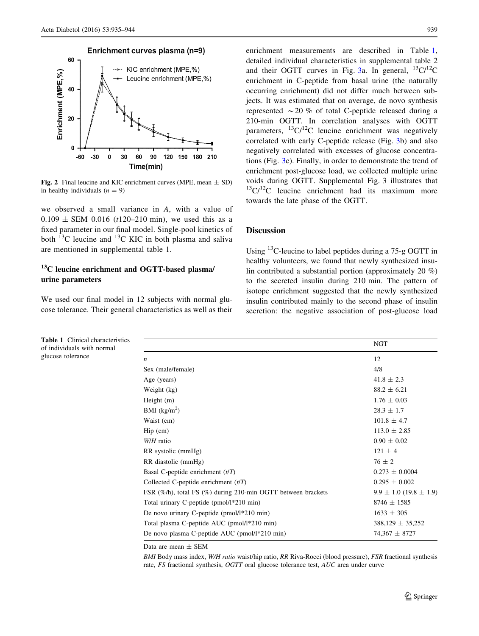<span id="page-4-0"></span>

Fig. 2 Final leucine and KIC enrichment curves (MPE, mean  $\pm$  SD) in healthy individuals  $(n = 9)$ 

we observed a small variance in A, with a value of  $0.109 \pm$  SEM 0.016 (t120–210 min), we used this as a fixed parameter in our final model. Single-pool kinetics of both  $^{13}$ C leucine and  $^{13}$ C KIC in both plasma and saliva are mentioned in supplemental table 1.

## $13<sup>C</sup>$  leucine enrichment and OGTT-based plasma/ urine parameters

We used our final model in 12 subjects with normal glucose tolerance. Their general characteristics as well as their

Table 1 Clinical characteristics of individuals with normal glucose tolerance

enrichment measurements are described in Table 1, detailed individual characteristics in supplemental table 2 and their OGTT curves in Fig. [3](#page-5-0)a. In general,  $^{13}C/^{12}C$ enrichment in C-peptide from basal urine (the naturally occurring enrichment) did not differ much between subjects. It was estimated that on average, de novo synthesis represented  $\sim$  20 % of total C-peptide released during a 210-min OGTT. In correlation analyses with OGTT parameters,  $^{13}C/^{12}C$  leucine enrichment was negatively correlated with early C-peptide release (Fig. [3b](#page-5-0)) and also negatively correlated with excesses of glucose concentrations (Fig. [3c](#page-5-0)). Finally, in order to demonstrate the trend of enrichment post-glucose load, we collected multiple urine voids during OGTT. Supplemental Fig. 3 illustrates that  $13\text{C}/12\text{C}$  leucine enrichment had its maximum more towards the late phase of the OGTT.

## **Discussion**

Using <sup>13</sup>C-leucine to label peptides during a 75-g OGTT in healthy volunteers, we found that newly synthesized insulin contributed a substantial portion (approximately 20 %) to the secreted insulin during 210 min. The pattern of isotope enrichment suggested that the newly synthesized insulin contributed mainly to the second phase of insulin secretion: the negative association of post-glucose load

|                                                              | NGT                            |
|--------------------------------------------------------------|--------------------------------|
| $\boldsymbol{n}$                                             | 12                             |
| Sex (male/female)                                            | 4/8                            |
| Age (years)                                                  | $41.8 \pm 2.3$                 |
| Weight (kg)                                                  | $88.2 \pm 6.21$                |
| Height $(m)$                                                 | $1.76 \pm 0.03$                |
| BMI $(kg/m2)$                                                | $28.3 \pm 1.7$                 |
| Waist (cm)                                                   | $101.8 \pm 4.7$                |
| $\text{Hip}$ (cm)                                            | $113.0 \pm 2.85$               |
| W/H ratio                                                    | $0.90 \pm 0.02$                |
| RR systolic (mmHg)                                           | $121 \pm 4$                    |
| RR diastolic (mmHg)                                          | $76 \pm 2$                     |
| Basal C-peptide enrichment $(t/T)$                           | $0.273 \pm 0.0004$             |
| Collected C-peptide enrichment $(t/T)$                       | $0.295 \pm 0.002$              |
| FSR (%/h), total FS (%) during 210-min OGTT between brackets | $9.9 \pm 1.0$ (19.8 $\pm$ 1.9) |
| Total urinary C-peptide (pmol/l*210 min)                     | $8746 \pm 1585$                |
| De novo urinary C-peptide (pmol/ $1*210$ min)                | $1633 \pm 305$                 |
| Total plasma C-peptide AUC (pmol/l*210 min)                  | $388,129 \pm 35,252$           |
| De novo plasma C-peptide AUC (pmol/l*210 min)                | $74,367 \pm 8727$              |

Data are mean ± SEM

BMI Body mass index, W/H ratio waist/hip ratio, RR Riva-Rocci (blood pressure), FSR fractional synthesis rate, FS fractional synthesis, OGTT oral glucose tolerance test, AUC area under curve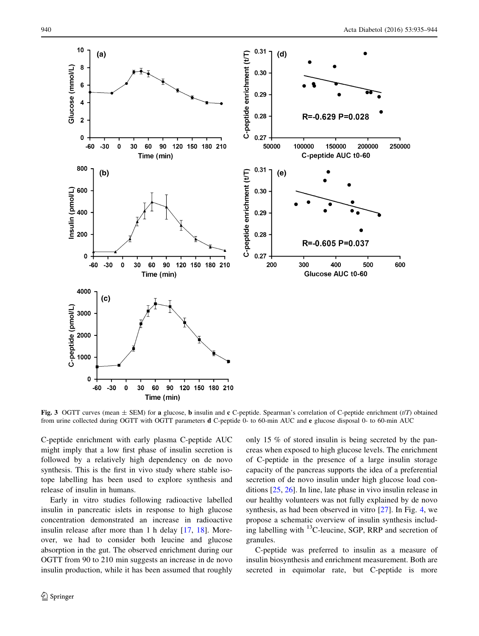<span id="page-5-0"></span>

Fig. 3 OGTT curves (mean  $\pm$  SEM) for a glucose, **b** insulin and c C-peptide. Spearman's correlation of C-peptide enrichment (t/T) obtained from urine collected during OGTT with OGTT parameters d C-peptide 0- to 60-min AUC and e glucose disposal 0- to 60-min AUC

C-peptide enrichment with early plasma C-peptide AUC might imply that a low first phase of insulin secretion is followed by a relatively high dependency on de novo synthesis. This is the first in vivo study where stable isotope labelling has been used to explore synthesis and release of insulin in humans.

Early in vitro studies following radioactive labelled insulin in pancreatic islets in response to high glucose concentration demonstrated an increase in radioactive insulin release after more than 1 h delay [\[17](#page-8-0), [18](#page-8-0)]. Moreover, we had to consider both leucine and glucose absorption in the gut. The observed enrichment during our OGTT from 90 to 210 min suggests an increase in de novo insulin production, while it has been assumed that roughly

only 15 % of stored insulin is being secreted by the pancreas when exposed to high glucose levels. The enrichment of C-peptide in the presence of a large insulin storage capacity of the pancreas supports the idea of a preferential secretion of de novo insulin under high glucose load conditions [\[25](#page-8-0), [26](#page-8-0)]. In line, late phase in vivo insulin release in our healthy volunteers was not fully explained by de novo synthesis, as had been observed in vitro [\[27](#page-8-0)]. In Fig. [4](#page-6-0), we propose a schematic overview of insulin synthesis including labelling with  ${}^{13}$ C-leucine, SGP, RRP and secretion of granules.

C-peptide was preferred to insulin as a measure of insulin biosynthesis and enrichment measurement. Both are secreted in equimolar rate, but C-peptide is more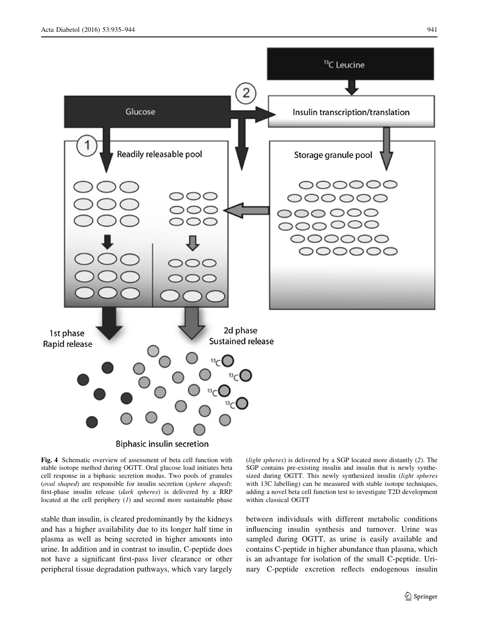<span id="page-6-0"></span>

Fig. 4 Schematic overview of assessment of beta cell function with stable isotope method during OGTT. Oral glucose load initiates beta cell response in a biphasic secretion modus. Two pools of granules (oval shaped) are responsible for insulin secretion (sphere shaped): first-phase insulin release (dark spheres) is delivered by a RRP located at the cell periphery  $(I)$  and second more sustainable phase

stable than insulin, is cleared predominantly by the kidneys and has a higher availability due to its longer half time in plasma as well as being secreted in higher amounts into urine. In addition and in contrast to insulin, C-peptide does not have a significant first-pass liver clearance or other peripheral tissue degradation pathways, which vary largely

(light spheres) is delivered by a SGP located more distantly (2). The SGP contains pre-existing insulin and insulin that is newly synthesized during OGTT. This newly synthesized insulin (light spheres with 13C labelling) can be measured with stable isotope techniques, adding a novel beta cell function test to investigate T2D development within classical OGTT

between individuals with different metabolic conditions influencing insulin synthesis and turnover. Urine was sampled during OGTT, as urine is easily available and contains C-peptide in higher abundance than plasma, which is an advantage for isolation of the small C-peptide. Urinary C-peptide excretion reflects endogenous insulin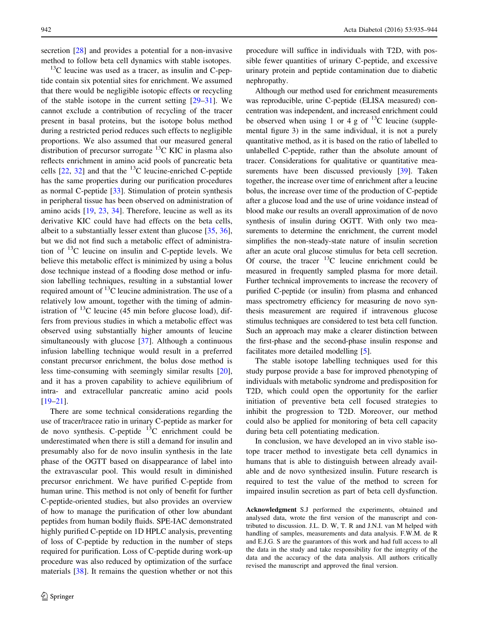secretion [\[28](#page-8-0)] and provides a potential for a non-invasive method to follow beta cell dynamics with stable isotopes.

 $13^{\circ}$ C leucine was used as a tracer, as insulin and C-peptide contain six potential sites for enrichment. We assumed that there would be negligible isotopic effects or recycling of the stable isotope in the current setting [[29–31\]](#page-8-0). We cannot exclude a contribution of recycling of the tracer present in basal proteins, but the isotope bolus method during a restricted period reduces such effects to negligible proportions. We also assumed that our measured general distribution of precursor surrogate  $^{13}$ C KIC in plasma also reflects enrichment in amino acid pools of pancreatic beta cells  $[22, 32]$  $[22, 32]$  $[22, 32]$  $[22, 32]$  and that the <sup>13</sup>C leucine-enriched C-peptide has the same properties during our purification procedures as normal C-peptide [\[33](#page-9-0)]. Stimulation of protein synthesis in peripheral tissue has been observed on administration of amino acids [[19,](#page-8-0) [23,](#page-8-0) [34\]](#page-9-0). Therefore, leucine as well as its derivative KIC could have had effects on the beta cells, albeit to a substantially lesser extent than glucose [[35,](#page-9-0) [36](#page-9-0)], but we did not find such a metabolic effect of administration of  $^{13}$ C leucine on insulin and C-peptide levels. We believe this metabolic effect is minimized by using a bolus dose technique instead of a flooding dose method or infusion labelling techniques, resulting in a substantial lower required amount of  $^{13}$ C leucine administration. The use of a relatively low amount, together with the timing of administration of  $^{13}$ C leucine (45 min before glucose load), differs from previous studies in which a metabolic effect was observed using substantially higher amounts of leucine simultaneously with glucose [\[37](#page-9-0)]. Although a continuous infusion labelling technique would result in a preferred constant precursor enrichment, the bolus dose method is less time-consuming with seemingly similar results [\[20](#page-8-0)], and it has a proven capability to achieve equilibrium of intra- and extracellular pancreatic amino acid pools [\[19–21](#page-8-0)].

There are some technical considerations regarding the use of tracer/tracee ratio in urinary C-peptide as marker for de novo synthesis. C-peptide  $^{13}$ C enrichment could be underestimated when there is still a demand for insulin and presumably also for de novo insulin synthesis in the late phase of the OGTT based on disappearance of label into the extravascular pool. This would result in diminished precursor enrichment. We have purified C-peptide from human urine. This method is not only of benefit for further C-peptide-oriented studies, but also provides an overview of how to manage the purification of other low abundant peptides from human bodily fluids. SPE-IAC demonstrated highly purified C-peptide on 1D HPLC analysis, preventing of loss of C-peptide by reduction in the number of steps required for purification. Loss of C-peptide during work-up procedure was also reduced by optimization of the surface materials [[38\]](#page-9-0). It remains the question whether or not this

procedure will suffice in individuals with T2D, with possible fewer quantities of urinary C-peptide, and excessive urinary protein and peptide contamination due to diabetic nephropathy.

Although our method used for enrichment measurements was reproducible, urine C-peptide (ELISA measured) concentration was independent, and increased enrichment could be observed when using 1 or 4 g of  $^{13}$ C leucine (supplemental figure 3) in the same individual, it is not a purely quantitative method, as it is based on the ratio of labelled to unlabelled C-peptide, rather than the absolute amount of tracer. Considerations for qualitative or quantitative mea-surements have been discussed previously [[39](#page-9-0)]. Taken together, the increase over time of enrichment after a leucine bolus, the increase over time of the production of C-peptide after a glucose load and the use of urine voidance instead of blood make our results an overall approximation of de novo synthesis of insulin during OGTT. With only two measurements to determine the enrichment, the current model simplifies the non-steady-state nature of insulin secretion after an acute oral glucose stimulus for beta cell secretion. Of course, the tracer  $^{13}$ C leucine enrichment could be measured in frequently sampled plasma for more detail. Further technical improvements to increase the recovery of purified C-peptide (or insulin) from plasma and enhanced mass spectrometry efficiency for measuring de novo synthesis measurement are required if intravenous glucose stimulus techniques are considered to test beta cell function. Such an approach may make a clearer distinction between the first-phase and the second-phase insulin response and facilitates more detailed modelling [[5](#page-8-0)].

The stable isotope labelling techniques used for this study purpose provide a base for improved phenotyping of individuals with metabolic syndrome and predisposition for T2D, which could open the opportunity for the earlier initiation of preventive beta cell focused strategies to inhibit the progression to T2D. Moreover, our method could also be applied for monitoring of beta cell capacity during beta cell potentiating medication.

In conclusion, we have developed an in vivo stable isotope tracer method to investigate beta cell dynamics in humans that is able to distinguish between already available and de novo synthesized insulin. Future research is required to test the value of the method to screen for impaired insulin secretion as part of beta cell dysfunction.

Acknowledgment S.J performed the experiments, obtained and analysed data, wrote the first version of the manuscript and contributed to discussion. J.L. D. W, T. R and J.N.I. van M helped with handling of samples, measurements and data analysis. F.W.M. de R and E.J.G. S are the guarantors of this work and had full access to all the data in the study and take responsibility for the integrity of the data and the accuracy of the data analysis. All authors critically revised the manuscript and approved the final version.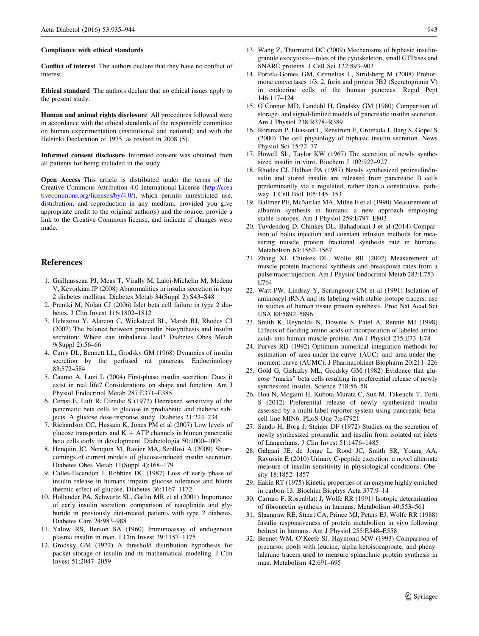#### <span id="page-8-0"></span>Compliance with ethical standards

Conflict of interest The authors declare that they have no conflict of interest.

Ethical standard The authors declare that no ethical issues apply to the present study.

Human and animal rights disclosure All procedures followed were in accordance with the ethical standards of the responsible committee on human experimentation (institutional and national) and with the Helsinki Declaration of 1975, as revised in 2008 (5).

Informed consent disclosure Informed consent was obtained from all patients for being included in the study.

Open Access This article is distributed under the terms of the Creative Commons Attribution 4.0 International License ([http://crea](http://creativecommons.org/licenses/by/4.0/) [tivecommons.org/licenses/by/4.0/\)](http://creativecommons.org/licenses/by/4.0/), which permits unrestricted use, distribution, and reproduction in any medium, provided you give appropriate credit to the original author(s) and the source, provide a link to the Creative Commons license, and indicate if changes were made.

#### References

- 1. Guillausseau PJ, Meas T, Virally M, Laloi-Michelin M, Medeau V, Kevorkian JP (2008) Abnormalities in insulin secretion in type 2 diabetes mellitus. Diabetes Metab 34(Suppl 2):S43–S48
- 2. Prentki M, Nolan CJ (2006) Islet beta cell failure in type 2 diabetes. J Clin Invest 116:1802–1812
- 3. Uchizono Y, Alarcon C, Wicksteed BL, Marsh BJ, Rhodes CJ (2007) The balance between proinsulin biosynthesis and insulin secretion: Where can imbalance lead? Diabetes Obes Metab 9(Suppl 2):56–66
- 4. Curry DL, Bennett LL, Grodsky GM (1968) Dynamics of insulin secretion by the perfused rat pancreas. Endocrinology 83:572–584
- 5. Caumo A, Luzi L (2004) First-phase insulin secretion: Does it exist in real life? Considerations on shape and function. Am J Physiol Endocrinol Metab 287:E371–E385
- 6. Cerasi E, Luft R, Efendic S (1972) Decreased sensitivity of the pancreatic beta cells to glucose in prediabetic and diabetic subjects. A glucose dose-response study. Diabetes 21:224–234
- 7. Richardson CC, Hussain K, Jones PM et al (2007) Low levels of glucose transporters and  $K + ATP$  channels in human pancreatic beta cells early in development. Diabetologia 50:1000–1005
- 8. Henquin JC, Nenquin M, Ravier MA, Szollosi A (2009) Shortcomings of current models of glucose-induced insulin secretion. Diabetes Obes Metab 11(Suppl 4):168–179
- 9. Calles-Escandon J, Robbins DC (1987) Loss of early phase of insulin release in humans impairs glucose tolerance and blunts thermic effect of glucose. Diabetes 36:1167–1172
- 10. Hollander PA, Schwartz SL, Gatlin MR et al (2001) Importance of early insulin secretion: comparison of nateglinide and glyburide in previously diet-treated patients with type 2 diabetes. Diabetes Care 24:983–988
- 11. Yalow RS, Berson SA (1960) Immunoassay of endogenous plasma insulin in man. J Clin Invest 39:1157–1175
- 12. Grodsky GM (1972) A threshold distribution hypothesis for packet storage of insulin and its mathematical modeling. J Clin Invest 51:2047–2059
- 13. Wang Z, Thurmond DC (2009) Mechanisms of biphasic insulingranule exocytosis—roles of the cytoskeleton, small GTPases and SNARE proteins. J Cell Sci 122:893–903
- 14. Portela-Gomes GM, Grimelius L, Stridsberg M (2008) Prohormone convertases 1/3, 2, furin and protein 7B2 (Secretogranin V) in endocrine cells of the human pancreas. Regul Pept 146:117–124
- 15. O'Connor MD, Landahl H, Grodsky GM (1980) Comparison of storage- and signal-limited models of pancreatic insulin secretion. Am J Physiol 238:R378–R389
- 16. Rorsman P, Eliasson L, Renstrom E, Gromada J, Barg S, Gopel S (2000) The cell physiology of biphasic insulin secretion. News Physiol Sci 15:72–77
- 17. Howell SL, Taylor KW (1967) The secretion of newly synthesized insulin in vitro. Biochem J 102:922–927
- 18. Rhodes CJ, Halban PA (1987) Newly synthesized proinsulin/insulin and stored insulin are released from pancreatic B cells predominantly via a regulated, rather than a constitutive, pathway. J Cell Biol 105:145–153
- 19. Ballmer PE, McNurlan MA, Milne E et al (1990) Measurement of albumin synthesis in humans: a new approach employing stable isotopes. Am J Physiol 259:E797–E803
- 20. Tuvdendorj D, Chinkes DL, Bahadorani J et al (2014) Comparison of bolus injection and constant infusion methods for measuring muscle protein fractional synthesis rate in humans. Metabolism 63:1562–1567
- 21. Zhang XJ, Chinkes DL, Wolfe RR (2002) Measurement of muscle protein fractional synthesis and breakdown rates from a pulse tracer injection. Am J Physiol Endocrinol Metab 283:E753– E764
- 22. Watt PW, Lindsay Y, Scrimgeour CM et al (1991) Isolation of aminoacyl-tRNA and its labeling with stable-isotope tracers: use in studies of human tissue protein synthesis. Proc Nat Acad Sci USA 88:5892–5896
- 23. Smith K, Reynolds N, Downie S, Patel A, Rennie MJ (1998) Effects of flooding amino acids on incorporation of labeled amino acids into human muscle protein. Am J Physiol 275:E73–E78
- 24. Purves RD (1992) Optimum numerical integration methods for estimation of area-under-the-curve (AUC) and area-under-themoment-curve (AUMC). J Pharmacokinet Biopharm 20:211–226
- 25. Gold G, Gishizky ML, Grodsky GM (1982) Evidence that glucose ''marks'' beta cells resulting in preferential release of newly synthesized insulin. Science 218:56–58
- 26. Hou N, Mogami H, Kubota-Murata C, Sun M, Takeuchi T, Torii S (2012) Preferential release of newly synthesized insulin assessed by a multi-label reporter system using pancreatic betacell line MIN6. PLoS One 7:e47921
- 27. Sando H, Borg J, Steiner DF (1972) Studies on the secretion of newly synthesized proinsulin and insulin from isolated rat islets of Langerhans. J Clin Invest 51:1476–1485
- 28. Galgani JE, de Jonge L, Rood JC, Smith SR, Young AA, Ravussin E (2010) Urinary C-peptide excretion: a novel alternate measure of insulin sensitivity in physiological conditions. Obesity 18:1852–1857
- 29. Eakin RT (1975) Kinetic properties of an enzyme highly enriched in carbon-13. Biochim Biophys Acta 377:9–14
- 30. Carraro F, Rosenblatt J, Wolfe RR (1991) Isotopic determination of fibronectin synthesis in humans. Metabolism 40:553–561
- 31. Shangraw RE, Stuart CA, Prince MJ, Peters EJ, Wolfe RR (1988) Insulin responsiveness of protein metabolism in vivo following bedrest in humans. Am J Physiol 255:E548–E558
- 32. Bennet WM, O'Keefe SJ, Haymond MW (1993) Comparison of precursor pools with leucine, alpha-ketoisocaproate, and phenylalanine tracers used to measure splanchnic protein synthesis in man. Metabolism 42:691–695